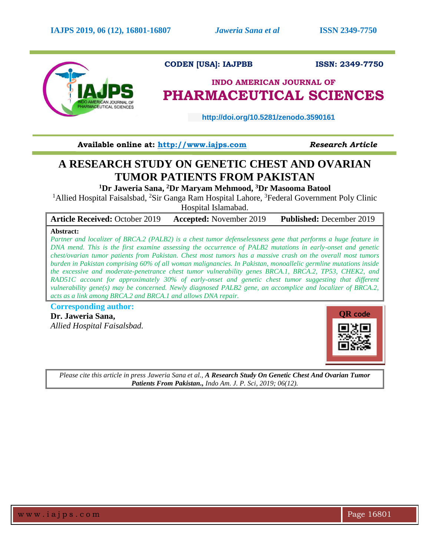

# **CODEN [USA]: IAJPBB ISSN: 2349-7750**

# **INDO AMERICAN JOURNAL OF PHARMACEUTICAL SCIENCES**

 **http://doi.org/10.5281/zenodo.3590161** 

**Available online at: [http://www.iajps.com](http://www.iajps.com/)** *Research Article*

# **A RESEARCH STUDY ON GENETIC CHEST AND OVARIAN TUMOR PATIENTS FROM PAKISTAN**

**<sup>1</sup>Dr Jaweria Sana, <sup>2</sup>Dr Maryam Mehmood, <sup>3</sup>Dr Masooma Batool**

<sup>1</sup>Allied Hospital Faisalsbad, <sup>2</sup>Sir Ganga Ram Hospital Lahore, <sup>3</sup>Federal Government Poly Clinic

Hospital Islamabad.

| <b>Article Received: October 2019</b> | <b>Accepted:</b> November 2019 | <b>Published:</b> December 2019 |
|---------------------------------------|--------------------------------|---------------------------------|
|                                       |                                |                                 |

# **Abstract:**

*Partner and localizer of BRCA.2 (PALB2) is a chest tumor defenselessness gene that performs a huge feature in DNA mend. This is the first examine assessing the occurrence of PALB2 mutations in early-onset and genetic chest/ovarian tumor patients from Pakistan. Chest most tumors has a massive crash on the overall most tumors burden in Pakistan comprising 60% of all woman malignancies. In Pakistan, monoallelic germline mutations inside the excessive and moderate-penetrance chest tumor vulnerability genes BRCA.1, BRCA.2, TP53, CHEK2, and RAD51C account for approximately 30% of early-onset and genetic chest tumor suggesting that different vulnerability gene(s) may be concerned. Newly diagnosed PALB2 gene, an accomplice and localizer of BRCA.2, acts as a link among BRCA.2 and BRCA.1 and allows DNA repair.* 

**Corresponding author:** 

**Dr. Jaweria Sana,** *Allied Hospital Faisalsbad.*



*Please cite this article in press Jaweria Sana et al., A Research Study On Genetic Chest And Ovarian Tumor Patients From Pakistan., Indo Am. J. P. Sci, 2019; 06(12).*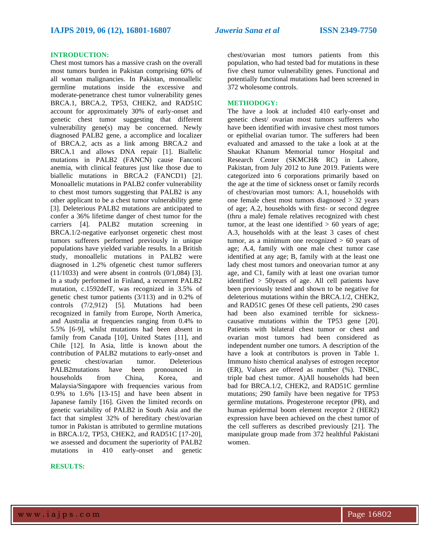## **INTRODUCTION:**

Chest most tumors has a massive crash on the overall most tumors burden in Pakistan comprising 60% of all woman malignancies. In Pakistan, monoallelic germline mutations inside the excessive and moderate-penetrance chest tumor vulnerability genes BRCA.1, BRCA.2, TP53, CHEK2, and RAD51C account for approximately 30% of early-onset and genetic chest tumor suggesting that different vulnerability gene(s) may be concerned. Newly diagnosed PALB2 gene, a accomplice and localizer of BRCA.2, acts as a link among BRCA.2 and BRCA.1 and allows DNA repair [1]. Biallelic mutations in PALB2 (FANCN) cause Fanconi anemia, with clinical features just like those due to biallelic mutations in BRCA.2 (FANCD1) [2]. Monoallelic mutations in PALB2 confer vulnerability to chest most tumors suggesting that PALB2 is any other applicant to be a chest tumor vulnerability gene [3]. Deleterious PALB2 mutations are anticipated to confer a 36% lifetime danger of chest tumor for the carriers [4]. PALB2 mutation screening in BRCA.1/2-negative earlyonset orgenetic chest most tumors sufferers performed previously in unique populations have yielded variable results. In a British study, monoallelic mutations in PALB2 were diagnosed in 1.2% ofgenetic chest tumor sufferers (11/1033) and were absent in controls (0/1,084) [3]. In a study performed in Finland, a recurrent PALB2 mutation, c.1592delT, was recognized in 3.5% of genetic chest tumor patients (3/113) and in 0.2% of controls (7/2,912) [5]. Mutations had been recognized in family from Europe, North America, and Australia at frequencies ranging from 0.4% to 5.5% [6-9], whilst mutations had been absent in family from Canada [10], United States [11], and Chile [12]. In Asia, little is known about the contribution of PALB2 mutations to early-onset and genetic chest/ovarian tumor. Deleterious PALB2mutations have been pronounced in households from China, Korea, and Malaysia/Singapore with frequencies various from 0.9% to 1.6% [13-15] and have been absent in Japanese family [16]. Given the limited records on genetic variability of PALB2 in South Asia and the fact that simplest 32% of hereditary chest/ovarian tumor in Pakistan is attributed to germline mutations in BRCA.1/2, TP53, CHEK2, and RAD51C [17-20], we assessed and document the superiority of PALB2 mutations in 410 early-onset and genetic

#### **RESULTS:**

chest/ovarian most tumors patients from this population, who had tested bad for mutations in these five chest tumor vulnerability genes. Functional and potentially functional mutations had been screened in 372 wholesome controls.

#### **METHODOGY:**

The have a look at included 410 early-onset and genetic chest/ ovarian most tumors sufferers who have been identified with invasive chest most tumors or epithelial ovarian tumor. The sufferers had been evaluated and amassed to the take a look at at the Shaukat Khanum Memorial tumor Hospital and Research Center (SKMCH& RC) in Lahore, Pakistan, from July 2012 to June 2019. Patients were categorized into 6 corporations primarily based on the age at the time of sickness onset or family records of chest/ovarian most tumors: A.1, households with one female chest most tumors diagnosed > 32 years of age; A.2, households with first- or second degree (thru a male) female relatives recognized with chest tumor, at the least one identified  $> 60$  years of age; A.3, households with at the least 3 cases of chest tumor, as a minimum one recognized  $> 60$  years of age; A.4, family with one male chest tumor case identified at any age; B, family with at the least one lady chest most tumors and oneovarian tumor at any age, and C1, family with at least one ovarian tumor identified > 50years of age. All cell patients have been previously tested and shown to be negative for deleterious mutations within the BRCA.1/2, CHEK2, and RAD51C genes Of these cell patients, 290 cases had been also examined terrible for sicknesscausative mutations within the TP53 gene [20]. Patients with bilateral chest tumor or chest and ovarian most tumors had been considered as independent number one tumors. A description of the have a look at contributors is proven in Table 1. Immuno histo chemical analyses of estrogen receptor (ER), Values are offered as number (%). TNBC, triple bad chest tumor. A)All households had been bad for BRCA.1/2, CHEK2, and RAD51C germline mutations; 290 family have been negative for TP53 germline mutations. Progesterone receptor (PR), and human epidermal boom element receptor 2 (HER2) expression have been achieved on the chest tumor of the cell sufferers as described previously [21]. The manipulate group made from 372 healthful Pakistani women.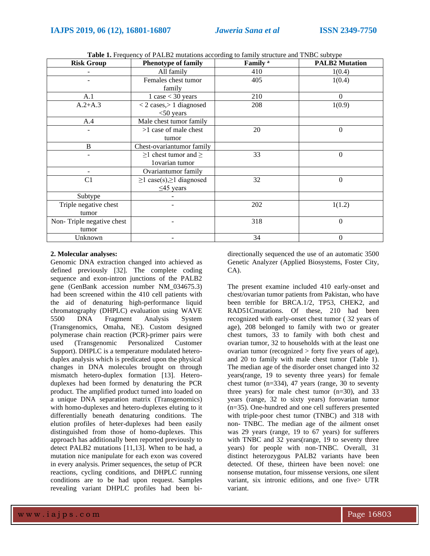| <b>Risk Group</b>         | Family <sup>a</sup><br><b>Phenotype of family</b> |                      | <b>PALB2</b> Mutation |  |
|---------------------------|---------------------------------------------------|----------------------|-----------------------|--|
|                           | All family<br>410                                 |                      | 1(0.4)                |  |
|                           | Females chest tumor                               | 405                  | 1(0.4)                |  |
|                           | family                                            |                      |                       |  |
| A.1                       | $1 \case < 30 \text{ years}$                      | 210<br>$\Omega$      |                       |  |
| $A.2+A.3$                 | $<$ 2 cases, $>$ 1 diagnosed                      | 208<br>1(0.9)        |                       |  |
|                           | $<$ 50 years                                      |                      |                       |  |
| A.4                       | Male chest tumor family                           |                      |                       |  |
|                           | $>1$ case of male chest                           | 20                   |                       |  |
|                           | tumor                                             |                      |                       |  |
| B                         | Chest-ovariantumor family                         |                      |                       |  |
|                           | $\geq$ 1 chest tumor and $\geq$                   | 33                   | $\Omega$              |  |
|                           | 1ovarian tumor                                    |                      |                       |  |
|                           | Ovariantumor family                               |                      |                       |  |
| C <sub>1</sub>            | $\geq$ 1 case(s), $\geq$ 1 diagnosed              | 32<br>$\overline{0}$ |                       |  |
|                           | $\leq$ 45 years                                   |                      |                       |  |
| Subtype                   |                                                   |                      |                       |  |
| Triple negative chest     | 202<br>1(1.2)                                     |                      |                       |  |
| tumor                     |                                                   |                      |                       |  |
| Non-Triple negative chest |                                                   | 318<br>$\theta$      |                       |  |
| tumor                     |                                                   |                      |                       |  |
| Unknown                   | -                                                 | 34<br>$\Omega$       |                       |  |

**Table 1.** Frequency of PALB2 mutations according to family structure and TNBC subtype

# **2. Molecular analyses:**

Genomic DNA extraction changed into achieved as defined previously [32]. The complete coding sequence and exon-intron junctions of the PALB2 gene (GenBank accession number NM\_034675.3) had been screened within the 410 cell patients with the aid of denaturing high-performance liquid chromatography (DHPLC) evaluation using WAVE 5500 DNA Fragment Analysis System (Transgenomics, Omaha, NE). Custom designed polymerase chain reaction (PCR)-primer pairs were used (Transgenomic Personalized Customer Support). DHPLC is a temperature modulated heteroduplex analysis which is predicated upon the physical changes in DNA molecules brought on through mismatch hetero-duplex formation [13]. Heteroduplexes had been formed by denaturing the PCR product. The amplified product turned into loaded on a unique DNA separation matrix (Transgenomics) with homo-duplexes and hetero-duplexes eluting to it differentially beneath denaturing conditions. The elution profiles of heter-duplexes had been easily distinguished from those of homo-duplexes. This approach has additionally been reported previously to detect PALB2 mutations [11,13]. When to be had, a mutation nice manipulate for each exon was covered in every analysis. Primer sequences, the setup of PCR reactions, cycling conditions, and DHPLC running conditions are to be had upon request. Samples revealing variant DHPLC profiles had been bidirectionally sequenced the use of an automatic 3500 Genetic Analyzer (Applied Biosystems, Foster City, CA).

The present examine included 410 early-onset and chest/ovarian tumor patients from Pakistan, who have been terrible for BRCA.1/2, TP53, CHEK2, and RAD51Cmutations. Of these, 210 had been recognized with early-onset chest tumor ( 32 years of age), 208 belonged to family with two or greater chest tumors, 33 to family with both chest and ovarian tumor, 32 to households with at the least one ovarian tumor (recognized > forty five years of age), and 20 to family with male chest tumor (Table 1). The median age of the disorder onset changed into 32 years(range, 19 to seventy three years) for female chest tumor  $(n=334)$ , 47 years (range, 30 to seventy three years) for male chest tumor  $(n=30)$ , and 33 years (range, 32 to sixty years) forovarian tumor (n=35). One-hundred and one cell sufferers presented with triple-poor chest tumor (TNBC) and 318 with non- TNBC. The median age of the ailment onset was 29 years (range, 19 to 67 years) for sufferers with TNBC and 32 years(range, 19 to seventy three years) for people with non-TNBC. Overall, 31 distinct heterozygous PALB2 variants have been detected. Of these, thirteen have been novel: one nonsense mutation, four missense versions, one silent variant, six intronic editions, and one five> UTR variant.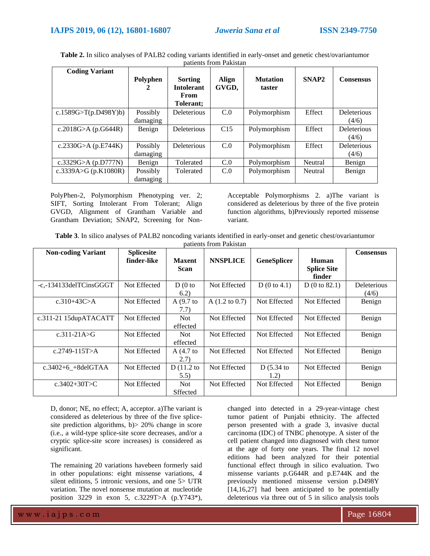| <b>Coding Variant</b> |               |                                                   |                |                           |                   |                  |
|-----------------------|---------------|---------------------------------------------------|----------------|---------------------------|-------------------|------------------|
|                       | Polyphen<br>2 | Sorting<br><b>Intolerant</b><br>From<br>Tolerant: | Align<br>GVGD, | <b>Mutation</b><br>taster | SNAP <sub>2</sub> | <b>Consensus</b> |
| c.1589G>T(p.D498Y)b)  | Possibly      | <b>Deleterious</b>                                | C.0            | Polymorphism              | Effect            | Deleterious      |
|                       | damaging      |                                                   |                |                           |                   | (4/6)            |
| c.2018G>A (p.G644R)   | Benign        | <b>Deleterious</b>                                | C15            | Polymorphism              | Effect            | Deleterious      |
|                       |               |                                                   |                |                           |                   | (4/6)            |
| c.2330G>A $(p.E744K)$ | Possibly      | Deleterious                                       | C.0            | Polymorphism              | Effect            | Deleterious      |
|                       | damaging      |                                                   |                |                           |                   | (4/6)            |
| c.3329G>A $(p.D777N)$ | Benign        | Tolerated                                         | C.0            | Polymorphism              | Neutral           | Benign           |
| c.3339A>G (p.K1080R)  | Possibly      | Tolerated                                         | C.0            | Polymorphism              | Neutral           | Benign           |
|                       | damaging      |                                                   |                |                           |                   |                  |

**Table 2.** In silico analyses of PALB2 coding variants identified in early-onset and genetic chest/ovariantumor patients from Pakistan

PolyPhen-2, Polymorphism Phenotyping ver. 2; SIFT, Sorting Intolerant From Tolerant; Align GVGD, Alignment of Grantham Variable and Grantham Deviation; SNAP2, Screening for NonAcceptable Polymorphisms 2. a)The variant is considered as deleterious by three of the five protein function algorithms, b)Previously reported missense variant.

**Table 3**. In silico analyses of PALB2 noncoding variants identified in early-onset and genetic chest/ovariantumor patients from Pakistan

| <b>Non-coding Variant</b> | <b>Splicesite</b> |                              |                           |                    |                                       | <b>Consensus</b>     |
|---------------------------|-------------------|------------------------------|---------------------------|--------------------|---------------------------------------|----------------------|
|                           | finder-like       | <b>Maxent</b><br><b>Scan</b> | <b>NNSPLICE</b>           | <b>GeneSplicer</b> | Human<br><b>Splice Site</b><br>finder |                      |
| -c,-134133delTCinsGGGT    | Not Effected      | $D(0)$ to<br>6.2)            | Not Effected              | D(0 to 4.1)        | D(0 to 82.1)                          | Deleterious<br>(4/6) |
| c.310+43C>A               | Not Effected      | $A(9.7)$ to<br>7.7)          | A $(1.2 \text{ to } 0.7)$ | Not Effected       | Not Effected                          | Benign               |
| c.311-21 15dupATACATT     | Not Effected      | Not.<br>effected             | Not Effected              | Not Effected       | Not Effected                          | Benign               |
| $c.311-21A > G$           | Not Effected      | <b>Not</b><br>effected       | Not Effected              | Not Effected       | Not Effected                          | Benign               |
| c.2749-115T>A             | Not Effected      | A $(4.7)$ to<br>2.7)         | Not Effected              | Not Effected       | Not Effected                          | Benign               |
| $c.3402+6$ +8delGTAA      | Not Effected      | D $(11.2$ to<br>5.5)         | Not Effected              | D(5.34)<br>1.2)    | Not Effected                          | Benign               |
| c.3402+30T>C              | Not Effected      | <b>Not</b><br>Sffected       | Not Effected              | Not Effected       | Not Effected                          | Benign               |

D, donor; NE, no effect; A, acceptor. a)The variant is considered as deleterious by three of the five splicesite prediction algorithms, b)> 20% change in score (i.e., a wild-type splice-site score decreases, and/or a cryptic splice-site score increases) is considered as significant.

The remaining 20 variations havebeen formerly said in other populations: eight missense variations, 4 silent editions, 5 intronic versions, and one 5> UTR variation. The novel nonsense mutation at nucleotide position 3229 in exon 5, c.3229T>A (p.Y743\*),

changed into detected in a 29-year-vintage chest tumor patient of Punjabi ethnicity. The affected person presented with a grade 3, invasive ductal carcinoma (IDC) of TNBC phenotype. A sister of the cell patient changed into diagnosed with chest tumor at the age of forty one years. The final 12 novel editions had been analyzed for their potential functional effect through in silico evaluation. Two missense variants p.G644R and p.E744K and the previously mentioned missense version p.D498Y [14,16,27] had been anticipated to be potentially deleterious via three out of 5 in silico analysis tools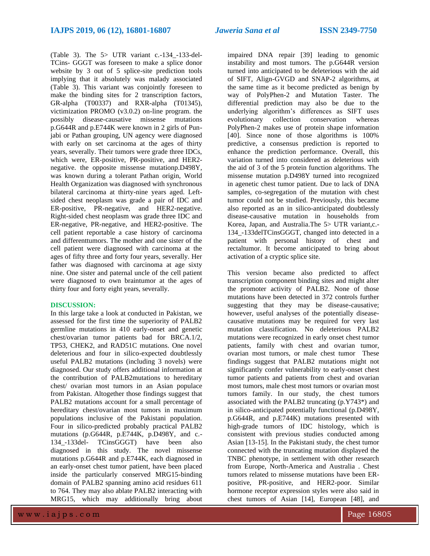(Table 3). The 5> UTR variant c.-134\_-133-del-TCins- GGGT was foreseen to make a splice donor website by 3 out of 5 splice-site prediction tools implying that it absolutely was malady associated (Table 3). This variant was conjointly foreseen to make the binding sites for 2 transcription factors, GR-alpha (T00337) and RXR-alpha (T01345), victimization PROMO (v3.0.2) on-line program. the possibly disease-causative missense mutations p.G644R and p.E744K were known in 2 girls of Punjabi or Pathan grouping, UN agency were diagnosed with early on set carcinoma at the ages of thirty years, severally. Their tumors were grade three IDCs, which were, ER-positive, PR-positive, and HER2 negative. the opposite missense mutationp.D498Y, was known during a tolerant Pathan origin, World Health Organization was diagnosed with synchronous bilateral carcinoma at thirty-nine years aged. Leftsided chest neoplasm was grade a pair of IDC and ER-positive, PR-negative, and HER2-negative. Right-sided chest neoplasm was grade three IDC and ER-negative, PR-negative, and HER2-positive. The cell patient reportable a case history of carcinoma and differenttumors. The mother and one sister of the cell patient were diagnosed with carcinoma at the ages of fifty three and forty four years, severally. Her father was diagnosed with carcinoma at age sixty nine. One sister and paternal uncle of the cell patient were diagnosed to own braintumor at the ages of thirty four and forty eight years, severally.

## **DISCUSSION:**

In this large take a look at conducted in Pakistan, we assessed for the first time the superiority of PALB2 germline mutations in 410 early-onset and genetic chest/ovarian tumor patients bad for BRCA.1/2, TP53, CHEK2, and RAD51C mutations. One novel deleterious and four in silico-expected doubtlessly useful PALB2 mutations (including 3 novels) were diagnosed. Our study offers additional information at the contribution of PALB2mutations to hereditary chest/ ovarian most tumors in an Asian populace from Pakistan. Altogether those findings suggest that PALB2 mutations account for a small percentage of hereditary chest/ovarian most tumors in maximum populations inclusive of the Pakistani population. Four in silico-predicted probably practical PALB2 mutations (p.G644R, p.E744K, p.D498Y, and c.- 134\_-133del- TCinsGGGT) have been also diagnosed in this study. The novel missense mutations p.G644R and p.E744K, each diagnosed in an early-onset chest tumor patient, have been placed inside the particularly conserved MRG15-binding domain of PALB2 spanning amino acid residues 611 to 764. They may also ablate PALB2 interacting with MRG15, which may additionally bring about

impaired DNA repair [39] leading to genomic instability and most tumors. The p.G644R version turned into anticipated to be deleterious with the aid of SIFT, Align-GVGD and SNAP-2 algorithms, at the same time as it become predicted as benign by way of PolyPhen-2 and Mutation Taster. The differential prediction may also be due to the underlying algorithm's differences as SIFT uses evolutionary collection conservation whereas PolyPhen-2 makes use of protein shape information [40]. Since none of those algorithms is 100% predictive, a consensus prediction is reported to enhance the prediction performance. Overall, this variation turned into considered as deleterious with the aid of 3 of the 5 protein function algorithms. The missense mutation p.D498Y turned into recognized in agenetic chest tumor patient. Due to lack of DNA samples, co-segregation of the mutation with chest tumor could not be studied. Previously, this became also reported as an in silico-anticipated doubtlessly disease-causative mutation in households from Korea, Japan, and Australia.The 5> UTR variant,c.- 134\_-133delTCinsGGGT, changed into detected in a patient with personal history of chest and rectaltumor. It become anticipated to bring about activation of a cryptic splice site.

This version became also predicted to affect transcription component binding sites and might alter the promoter activity of PALB2. None of those mutations have been detected in 372 controls further suggesting that they may be disease-causative; however, useful analyses of the potentially diseasecausative mutations may be required for very last mutation classification. No deleterious PALB2 mutations were recognized in early onset chest tumor patients, family with chest and ovarian tumor, ovarian most tumors, or male chest tumor These findings suggest that PALB2 mutations might not significantly confer vulnerability to early-onset chest tumor patients and patients from chest and ovarian most tumors, male chest most tumors or ovarian most tumors family. In our study, the chest tumors associated with the PALB2 truncating (p.Y743\*) and in silico-anticipated potentially functional (p.D498Y, p.G644R, and p.E744K) mutations presented with high-grade tumors of IDC histology, which is consistent with previous studies conducted among Asian [13-15]. In the Pakistani study, the chest tumor connected with the truncating mutation displayed the TNBC phenotype, in settlement with other research from Europe, North-America and Australia . Chest tumors related to missense mutations have been ERpositive, PR-positive, and HER2-poor. Similar hormone receptor expression styles were also said in chest tumors of Asian [14], European [48], and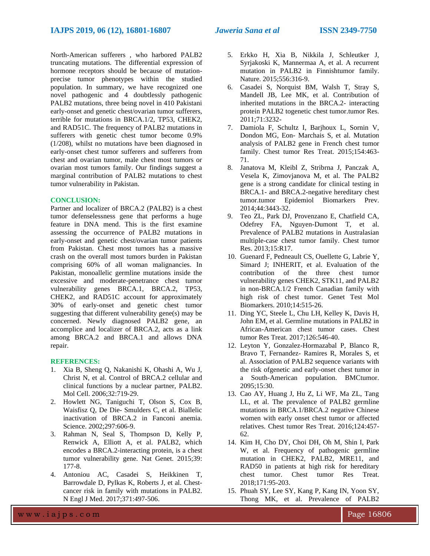North-American sufferers , who harbored PALB2 truncating mutations. The differential expression of hormone receptors should be because of mutationprecise tumor phenotypes within the studied population. In summary, we have recognized one novel pathogenic and 4 doubtlessly pathogenic PALB2 mutations, three being novel in 410 Pakistani early-onset and genetic chest/ovarian tumor sufferers, terrible for mutations in BRCA.1/2, TP53, CHEK2, and RAD51C. The frequency of PALB2 mutations in sufferers with genetic chest tumor become 0.9% (1/208), whilst no mutations have been diagnosed in early-onset chest tumor sufferers and sufferers from chest and ovarian tumor, male chest most tumors or ovarian most tumors family. Our findings suggest a marginal contribution of PALB2 mutations to chest tumor vulnerability in Pakistan.

### **CONCLUSION:**

Partner and localizer of BRCA.2 (PALB2) is a chest tumor defenselessness gene that performs a huge feature in DNA mend. This is the first examine assessing the occurrence of PALB2 mutations in early-onset and genetic chest/ovarian tumor patients from Pakistan. Chest most tumors has a massive crash on the overall most tumors burden in Pakistan comprising 60% of all woman malignancies. In Pakistan, monoallelic germline mutations inside the excessive and moderate-penetrance chest tumor vulnerability genes BRCA.1, BRCA.2, TP53, CHEK2, and RAD51C account for approximately 30% of early-onset and genetic chest tumor suggesting that different vulnerability gene(s) may be concerned. Newly diagnosed PALB2 gene, an accomplice and localizer of BRCA.2, acts as a link among BRCA.2 and BRCA.1 and allows DNA repair.

#### **REFERENCES:**

- 1. Xia B, Sheng Q, Nakanishi K, Ohashi A, Wu J, Christ N, et al. Control of BRCA.2 cellular and clinical functions by a nuclear partner, PALB2. Mol Cell. 2006;32:719-29.
- 2. Howlett NG, Taniguchi T, Olson S, Cox B, Waisfisz Q, De Die- Smulders C, et al. Biallelic inactivation of BRCA.2 in Fanconi anemia. Science. 2002;297:606-9.
- 3. Rahman N, Seal S, Thompson D, Kelly P, Renwick A, Elliott A, et al. PALB2, which encodes a BRCA.2-interacting protein, is a chest tumor vulnerability gene. Nat Genet. 2015;39: 177-8.
- 4. Antoniou AC, Casadei S, Heikkinen T, Barrowdale D, Pylkas K, Roberts J, et al. Chestcancer risk in family with mutations in PALB2. N Engl J Med. 2017;371:497-506.
- 5. Erkko H, Xia B, Nikkila J, Schleutker J, Syrjakoski K, Mannermaa A, et al. A recurrent mutation in PALB2 in Finnishtumor family. Nature. 2015;556:316-9.
- 6. Casadei S, Norquist BM, Walsh T, Stray S, Mandell JB, Lee MK, et al. Contribution of inherited mutations in the BRCA.2- interacting protein PALB2 togenetic chest tumor.tumor Res. 2011;71:3232-
- 7. Damiola F, Schultz I, Barjhoux L, Sornin V, Dondon MG, Eon- Marchais S, et al. Mutation analysis of PALB2 gene in French chest tumor family. Chest tumor Res Treat. 2015;154:463- 71.
- 8. Janatova M, Kleibl Z, Stribrna J, Panczak A, Vesela K, Zimovjanova M, et al. The PALB2 gene is a strong candidate for clinical testing in BRCA.1- and BRCA.2-negative hereditary chest tumor.tumor Epidemiol Biomarkers Prev. 2014;44:3443-32.
- 9. Teo ZL, Park DJ, Provenzano E, Chatfield CA, Odefrey FA, Nguyen-Dumont T, et al. Prevalence of PALB2 mutations in Australasian multiple-case chest tumor family. Chest tumor Res. 2013;15:R17.
- 10. Guenard F, Pedneault CS, Ouellette G, Labrie Y, Simard J; INHERIT, et al. Evaluation of the contribution of the three chest tumor vulnerability genes CHEK2, STK11, and PALB2 in non-BRCA.1/2 French Canadian family with high risk of chest tumor. Genet Test Mol Biomarkers. 2010;14:515-26.
- 11. Ding YC, Steele L, Chu LH, Kelley K, Davis H, John EM, et al. Germline mutations in PALB2 in African-American chest tumor cases. Chest tumor Res Treat. 2017;126:546-40.
- 12. Leyton Y, Gonzalez-Hormazabal P, Blanco R, Bravo T, Fernandez- Ramires R, Morales S, et al. Association of PALB2 sequence variants with the risk ofgenetic and early-onset chest tumor in a South-American population. BMCtumor. 2095;15:30.
- 13. Cao AY, Huang J, Hu Z, Li WF, Ma ZL, Tang LL, et al. The prevalence of PALB2 germline mutations in BRCA.1/BRCA.2 negative Chinese women with early onset chest tumor or affected relatives. Chest tumor Res Treat. 2016;124:457- 62.
- 14. Kim H, Cho DY, Choi DH, Oh M, Shin I, Park W, et al. Frequency of pathogenic germline mutation in CHEK2, PALB2, MRE11, and RAD50 in patients at high risk for hereditary chest tumor. Chest tumor Res Treat. 2018;171:95-203.
- 15. Phuah SY, Lee SY, Kang P, Kang IN, Yoon SY, Thong MK, et al. Prevalence of PALB2